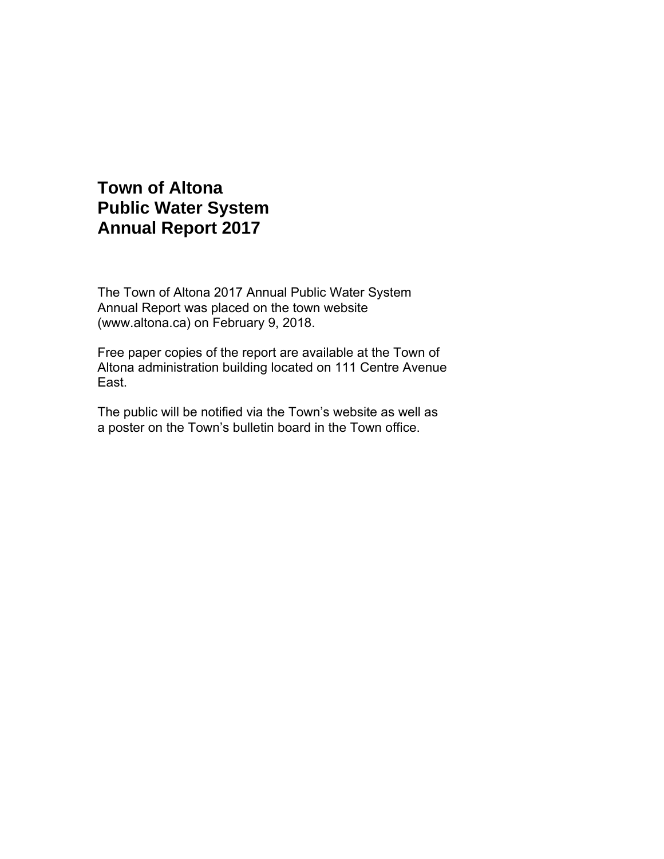# **Town of Altona Public Water System Annual Report 2017**

The Town of Altona 2017 Annual Public Water System Annual Report was placed on the town website (www.altona.ca) on February 9, 2018.

Free paper copies of the report are available at the Town of Altona administration building located on 111 Centre Avenue East.

The public will be notified via the Town's website as well as a poster on the Town's bulletin board in the Town office.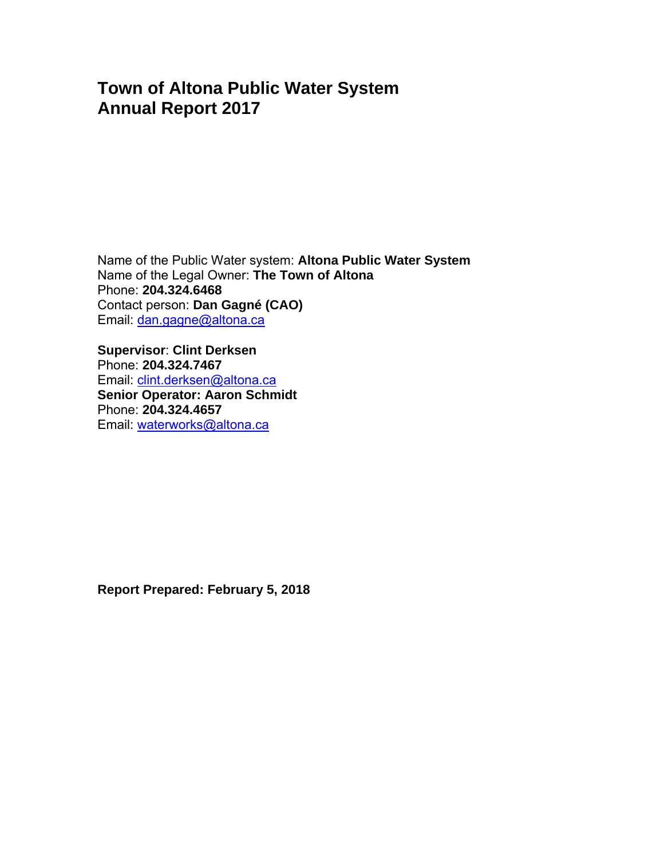# **Town of Altona Public Water System Annual Report 2017**

Name of the Public Water system: **Altona Public Water System** Name of the Legal Owner: **The Town of Altona** Phone: **204.324.6468**  Contact person: **Dan Gagné (CAO)**  Email: dan.gagne@altona.ca

**Supervisor**: **Clint Derksen**  Phone: **204.324.7467**  Email: clint.derksen@altona.ca **Senior Operator: Aaron Schmidt** Phone: **204.324.4657**  Email: waterworks@altona.ca

**Report Prepared: February 5, 2018**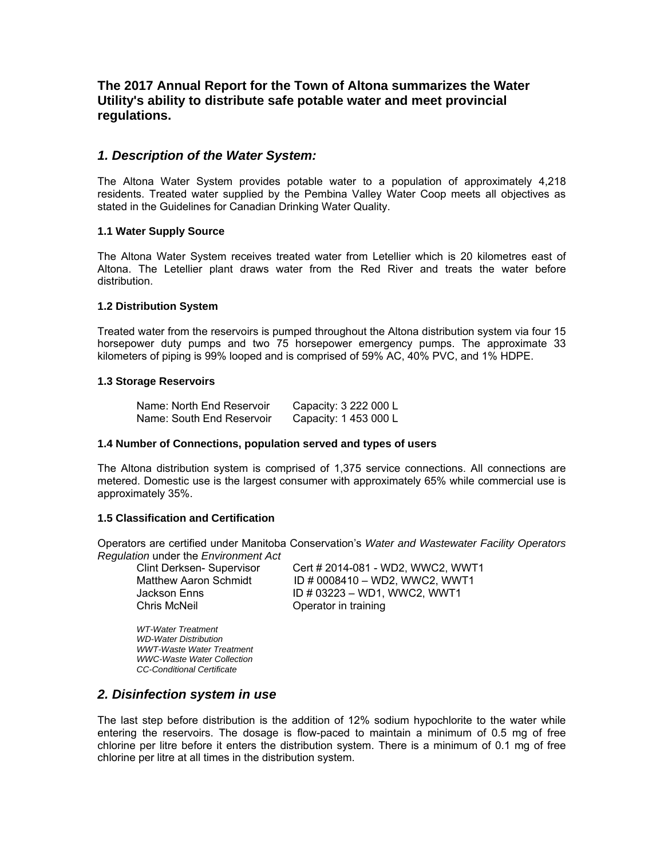# **The 2017 Annual Report for the Town of Altona summarizes the Water Utility's ability to distribute safe potable water and meet provincial regulations.**

## *1. Description of the Water System:*

The Altona Water System provides potable water to a population of approximately 4,218 residents. Treated water supplied by the Pembina Valley Water Coop meets all objectives as stated in the Guidelines for Canadian Drinking Water Quality.

#### **1.1 Water Supply Source**

The Altona Water System receives treated water from Letellier which is 20 kilometres east of Altona. The Letellier plant draws water from the Red River and treats the water before distribution.

#### **1.2 Distribution System**

Treated water from the reservoirs is pumped throughout the Altona distribution system via four 15 horsepower duty pumps and two 75 horsepower emergency pumps. The approximate 33 kilometers of piping is 99% looped and is comprised of 59% AC, 40% PVC, and 1% HDPE.

#### **1.3 Storage Reservoirs**

| Name: North End Reservoir | Capacity: 3 222 000 L |
|---------------------------|-----------------------|
| Name: South End Reservoir | Capacity: 1 453 000 L |

#### **1.4 Number of Connections, population served and types of users**

The Altona distribution system is comprised of 1,375 service connections. All connections are metered. Domestic use is the largest consumer with approximately 65% while commercial use is approximately 35%.

#### **1.5 Classification and Certification**

Operators are certified under Manitoba Conservation's *Water and Wastewater Facility Operators Regulation* under the *Environment Act*

Chris McNeil Operator in training

 Clint Derksen- Supervisor Cert # 2014-081 - WD2, WWC2, WWT1 Matthew Aaron Schmidt ID # 0008410 – WD2, WWC2, WWT1 Jackson Enns ID # 03223 – WD1, WWC2, WWT1

 *WT-Water Treatment WD-Water Distribution WWT-Waste Water Treatment WWC-Waste Water Collection CC-Conditional Certificate* 

## *2. Disinfection system in use*

The last step before distribution is the addition of 12% sodium hypochlorite to the water while entering the reservoirs. The dosage is flow-paced to maintain a minimum of 0.5 mg of free chlorine per litre before it enters the distribution system. There is a minimum of 0.1 mg of free chlorine per litre at all times in the distribution system.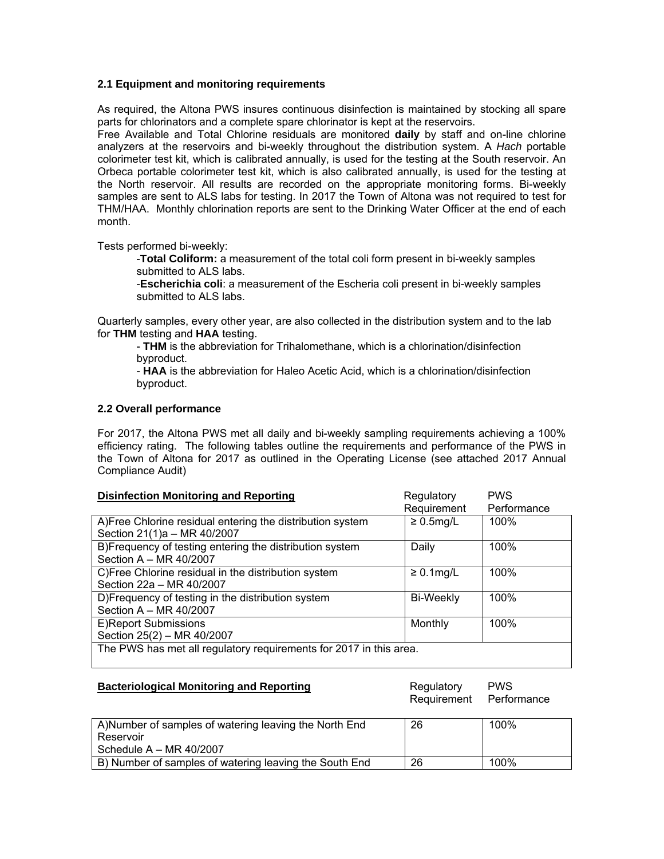### **2.1 Equipment and monitoring requirements**

As required, the Altona PWS insures continuous disinfection is maintained by stocking all spare parts for chlorinators and a complete spare chlorinator is kept at the reservoirs.

Free Available and Total Chlorine residuals are monitored **daily** by staff and on-line chlorine analyzers at the reservoirs and bi-weekly throughout the distribution system. A *Hach* portable colorimeter test kit, which is calibrated annually, is used for the testing at the South reservoir. An Orbeca portable colorimeter test kit, which is also calibrated annually, is used for the testing at the North reservoir. All results are recorded on the appropriate monitoring forms. Bi-weekly samples are sent to ALS labs for testing. In 2017 the Town of Altona was not required to test for THM/HAA. Monthly chlorination reports are sent to the Drinking Water Officer at the end of each month.

Tests performed bi-weekly:

-**Total Coliform:** a measurement of the total coli form present in bi-weekly samples submitted to ALS labs.

-**Escherichia coli**: a measurement of the Escheria coli present in bi-weekly samples submitted to ALS labs.

Quarterly samples, every other year, are also collected in the distribution system and to the lab for **THM** testing and **HAA** testing.

- **THM** is the abbreviation for Trihalomethane, which is a chlorination/disinfection byproduct.

- **HAA** is the abbreviation for Haleo Acetic Acid, which is a chlorination/disinfection byproduct.

#### **2.2 Overall performance**

For 2017, the Altona PWS met all daily and bi-weekly sampling requirements achieving a 100% efficiency rating. The following tables outline the requirements and performance of the PWS in the Town of Altona for 2017 as outlined in the Operating License (see attached 2017 Annual Compliance Audit)

| <b>Disinfection Monitoring and Reporting</b>                       | Regulatory      | <b>PWS</b>  |
|--------------------------------------------------------------------|-----------------|-------------|
|                                                                    | Requirement     | Performance |
| A) Free Chlorine residual entering the distribution system         | $\geq 0.5$ mg/L | 100%        |
| Section 21(1)a - MR 40/2007                                        |                 |             |
| B)Frequency of testing entering the distribution system            | Daily           | 100%        |
| Section A - MR 40/2007                                             |                 |             |
| C)Free Chlorine residual in the distribution system                | $\geq 0.1$ mg/L | 100%        |
| Section 22a - MR 40/2007                                           |                 |             |
| D)Frequency of testing in the distribution system                  | Bi-Weekly       | 100%        |
| Section A - MR 40/2007                                             |                 |             |
| E)Report Submissions                                               | Monthly         | 100%        |
| Section 25(2) - MR 40/2007                                         |                 |             |
| The PWS has met all regulatory requirements for 2017 in this area. |                 |             |
|                                                                    |                 |             |

| <b>Bacteriological Monitoring and Reporting</b>        | Regulatory<br>Requirement | <b>PWS</b><br>Performance |
|--------------------------------------------------------|---------------------------|---------------------------|
| A) Number of samples of watering leaving the North End | 26                        | 100%                      |
| Reservoir                                              |                           |                           |
| Schedule $A - MR 40/2007$                              |                           |                           |
| B) Number of samples of watering leaving the South End | 26                        | 100%                      |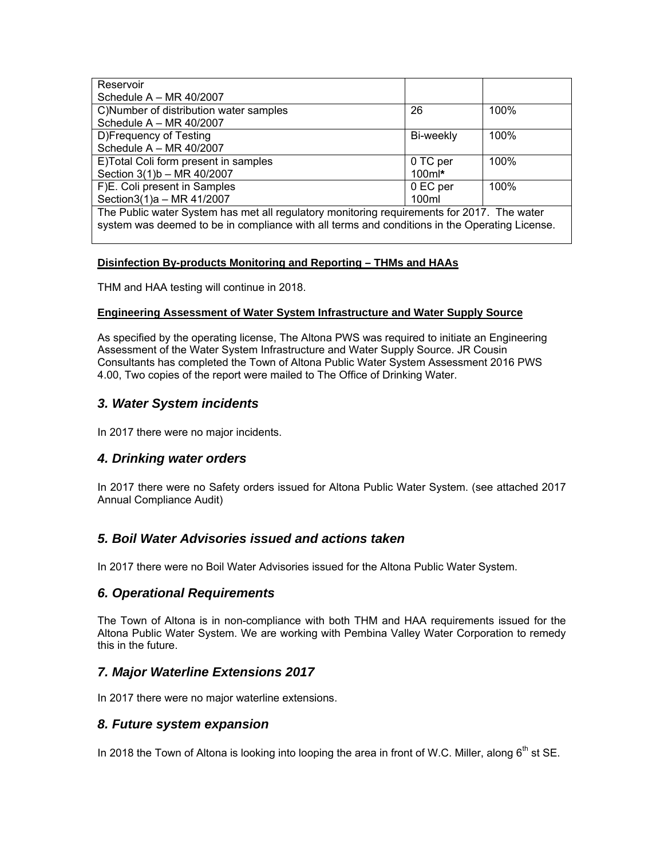| Reservoir                                                                                     |                   |      |
|-----------------------------------------------------------------------------------------------|-------------------|------|
| Schedule $A - MR 40/2007$                                                                     |                   |      |
| C)Number of distribution water samples                                                        | 26                | 100% |
| Schedule $A - MR 40/2007$                                                                     |                   |      |
| D)Frequency of Testing                                                                        | Bi-weekly         | 100% |
| Schedule A - MR 40/2007                                                                       |                   |      |
| E)Total Coli form present in samples                                                          | 0 TC per          | 100% |
| Section 3(1)b - MR 40/2007                                                                    | $100$ m $\cdot$   |      |
| F)E. Coli present in Samples                                                                  | 0 EC per          | 100% |
| Section3(1)a - MR 41/2007                                                                     | 100 <sub>ml</sub> |      |
| The Public water System has met all regulatory monitoring requirements for 2017. The water    |                   |      |
| system was deemed to be in compliance with all terms and conditions in the Operating License. |                   |      |

## **Disinfection By-products Monitoring and Reporting – THMs and HAAs**

THM and HAA testing will continue in 2018.

### **Engineering Assessment of Water System Infrastructure and Water Supply Source**

As specified by the operating license, The Altona PWS was required to initiate an Engineering Assessment of the Water System Infrastructure and Water Supply Source. JR Cousin Consultants has completed the Town of Altona Public Water System Assessment 2016 PWS 4.00, Two copies of the report were mailed to The Office of Drinking Water.

# *3. Water System incidents*

In 2017 there were no major incidents.

# *4. Drinking water orders*

In 2017 there were no Safety orders issued for Altona Public Water System. (see attached 2017 Annual Compliance Audit)

# *5. Boil Water Advisories issued and actions taken*

In 2017 there were no Boil Water Advisories issued for the Altona Public Water System.

# *6. Operational Requirements*

The Town of Altona is in non-compliance with both THM and HAA requirements issued for the Altona Public Water System. We are working with Pembina Valley Water Corporation to remedy this in the future.

# *7. Major Waterline Extensions 2017*

In 2017 there were no major waterline extensions.

## *8. Future system expansion*

In 2018 the Town of Altona is looking into looping the area in front of W.C. Miller, along  $6<sup>th</sup>$  st SE.